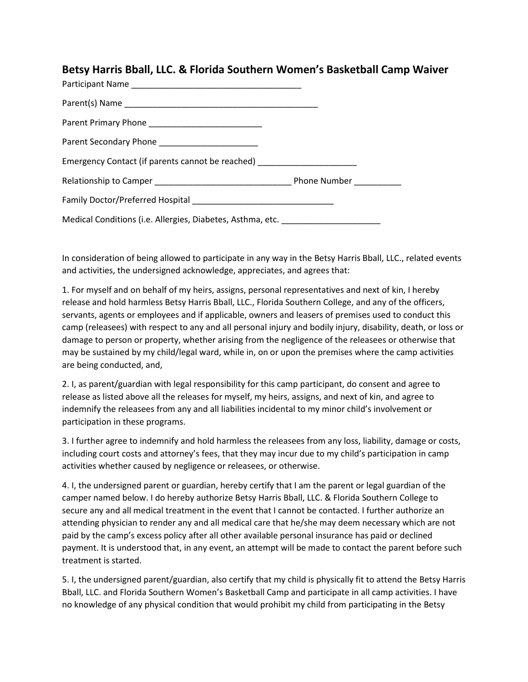## **Betsy Harris Bball, LLC. & Florida Southern Women's Basketball Camp Waiver**

| Parent Secondary Phone _______________________                                   |  |
|----------------------------------------------------------------------------------|--|
| Emergency Contact (if parents cannot be reached) _______________________________ |  |
|                                                                                  |  |
|                                                                                  |  |
| Medical Conditions (i.e. Allergies, Diabetes, Asthma, etc. _____________________ |  |

In consideration of being allowed to participate in any way in the Betsy Harris Bball, LLC., related events and activities, the undersigned acknowledge, appreciates, and agrees that:

1. For myself and on behalf of my heirs, assigns, personal representatives and next of kin, I hereby release and hold harmless Betsy Harris Bball, LLC., Florida Southern College, and any of the officers, servants, agents or employees and if applicable, owners and leasers of premises used to conduct this camp (releasees) with respect to any and all personal injury and bodily injury, disability, death, or loss or damage to person or property, whether arising from the negligence of the releasees or otherwise that may be sustained by my child/legal ward, while in, on or upon the premises where the camp activities are being conducted, and,

2. I, as parent/guardian with legal responsibility for this camp participant, do consent and agree to release as listed above all the releases for myself, my heirs, assigns, and next of kin, and agree to indemnify the releasees from any and all liabilities incidental to my minor child's involvement or participation in these programs.

3. I further agree to indemnify and hold harmless the releasees from any loss, liability, damage or costs, including court costs and attorney's fees, that they may incur due to my child's participation in camp activities whether caused by negligence or releasees, or otherwise.

4. I, the undersigned parent or guardian, hereby certify that I am the parent or legal guardian of the camper named below. I do hereby authorize Betsy Harris Bball, LLC. & Florida Southern College to secure any and all medical treatment in the event that I cannot be contacted. I further authorize an attending physician to render any and all medical care that he/she may deem necessary which are not paid by the camp's excess policy after all other available personal insurance has paid or declined payment. It is understood that, in any event, an attempt will be made to contact the parent before such treatment is started.

5. I, the undersigned parent/guardian, also certify that my child is physically fit to attend the Betsy Harris Bball, LLC. and Florida Southern Women's Basketball Camp and participate in all camp activities. I have no knowledge of any physical condition that would prohibit my child from participating in the Betsy